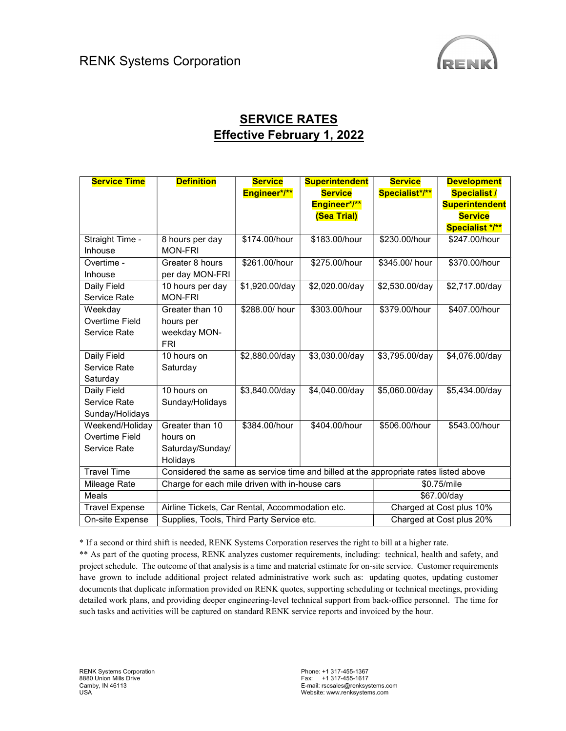

## **SERVICE RATES** Effective February 1, 2022

| <b>Service Time</b>   | <b>Definition</b>                                                                    | <b>Service</b> | <b>Superintendent</b> | <b>Service</b>           | <b>Development</b>    |
|-----------------------|--------------------------------------------------------------------------------------|----------------|-----------------------|--------------------------|-----------------------|
|                       |                                                                                      | Engineer*/**   | <b>Service</b>        | Specialist*/**           | <b>Specialist /</b>   |
|                       |                                                                                      |                | Engineer*/**          |                          | <b>Superintendent</b> |
|                       |                                                                                      |                | (Sea Trial)           |                          | <b>Service</b>        |
|                       |                                                                                      |                |                       |                          | Specialist */**       |
| Straight Time -       | 8 hours per day                                                                      | \$174.00/hour  | \$183.00/hour         | \$230.00/hour            | \$247.00/hour         |
| Inhouse               | <b>MON-FRI</b>                                                                       |                |                       |                          |                       |
| Overtime -            | Greater 8 hours                                                                      | \$261.00/hour  | \$275.00/hour         | \$345.00/ hour           | \$370.00/hour         |
| Inhouse               | per day MON-FRI                                                                      |                |                       |                          |                       |
| Daily Field           | 10 hours per day                                                                     | \$1,920.00/day | \$2,020.00/day        | \$2,530.00/day           | \$2,717.00/day        |
| Service Rate          | <b>MON-FRI</b>                                                                       |                |                       |                          |                       |
| Weekday               | Greater than 10                                                                      | \$288.00/ hour | \$303.00/hour         | \$379.00/hour            | \$407.00/hour         |
| <b>Overtime Field</b> | hours per                                                                            |                |                       |                          |                       |
| Service Rate          | weekday MON-                                                                         |                |                       |                          |                       |
|                       | <b>FRI</b>                                                                           |                |                       |                          |                       |
| Daily Field           | 10 hours on                                                                          | \$2,880.00/day | \$3,030.00/day        | \$3,795.00/day           | \$4,076.00/day        |
| Service Rate          | Saturday                                                                             |                |                       |                          |                       |
| Saturday              |                                                                                      |                |                       |                          |                       |
| Daily Field           | 10 hours on                                                                          | \$3,840.00/day | \$4,040.00/day        | \$5,060.00/day           | \$5,434.00/day        |
| Service Rate          | Sunday/Holidays                                                                      |                |                       |                          |                       |
| Sunday/Holidays       |                                                                                      |                |                       |                          |                       |
| Weekend/Holiday       | Greater than 10                                                                      | \$384.00/hour  | \$404.00/hour         | \$506.00/hour            | \$543.00/hour         |
| Overtime Field        | hours on                                                                             |                |                       |                          |                       |
| Service Rate          | Saturday/Sunday/                                                                     |                |                       |                          |                       |
|                       | Holidays                                                                             |                |                       |                          |                       |
| <b>Travel Time</b>    | Considered the same as service time and billed at the appropriate rates listed above |                |                       |                          |                       |
| Mileage Rate          | Charge for each mile driven with in-house cars                                       |                |                       | \$0.75/mile              |                       |
| Meals                 |                                                                                      |                |                       |                          | \$67.00/day           |
| <b>Travel Expense</b> | Airline Tickets, Car Rental, Accommodation etc.                                      |                |                       | Charged at Cost plus 10% |                       |
| On-site Expense       | Supplies, Tools, Third Party Service etc.                                            |                |                       | Charged at Cost plus 20% |                       |

\* If a second or third shift is needed, RENK Systems Corporation reserves the right to bill at a higher rate.

\*\* As part of the quoting process, RENK analyzes customer requirements, including: technical, health and safety, and project schedule. The outcome of that analysis is a time and material estimate for on-site service. Customer requirements have grown to include additional project related administrative work such as: updating quotes, updating customer documents that duplicate information provided on RENK quotes, supporting scheduling or technical meetings, providing detailed work plans, and providing deeper engineering-level technical support from back-office personnel. The time for such tasks and activities will be captured on standard RENK service reports and invoiced by the hour.